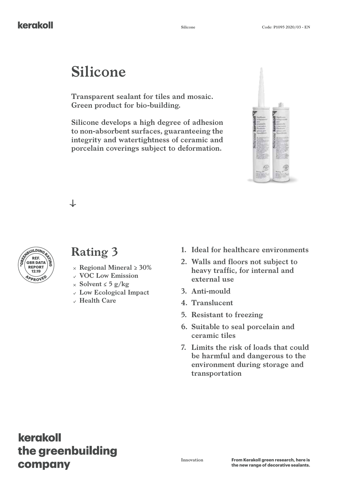# **Silicone**

**Transparent sealant for tiles and mosaic. Green product for bio-building.**

**Silicone develops a high degree of adhesion to non-absorbent surfaces, guaranteeing the integrity and watertightness of ceramic and porcelain coverings subject to deformation.**



┙



### **Rating 3**

- **Regional Mineral ≥ 30%**
- **VOC Low Emission**
- **Solvent ≤ 5 g/kg**
- **Low Ecological Impact**
- **Health Care**
- **1. Ideal for healthcare environments**
- **2. Walls and floors not subject to heavy traffic, for internal and external use**
- **3. Anti-mould**
- **4. Translucent**
- **5. Resistant to freezing**
- **6. Suitable to seal porcelain and ceramic tiles**
- **7. Limits the risk of loads that could be harmful and dangerous to the environment during storage and transportation**

### kerakoll the greenbuilding company

**Innovation**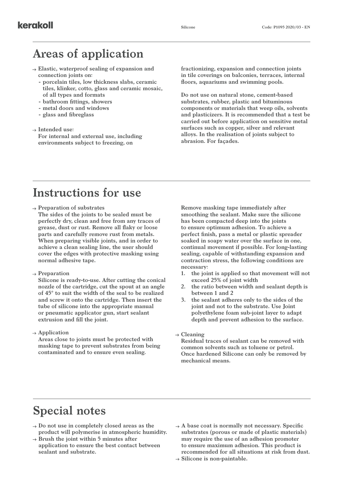### **Areas of application**

- **Elastic, waterproof sealing of expansion and connection joints on:**
	- **- porcelain tiles, low thickness slabs, ceramic tiles, klinker, cotto, glass and ceramic mosaic, of all types and formats**
	- **- bathroom fittings, showers**
	- **- metal doors and windows**
	- **- glass and fibreglass**

#### **Intended use:**

**For internal and external use, including environments subject to freezing, on** 

**fractionizing, expansion and connection joints in tile coverings on balconies, terraces, internal floors, aquariums and swimming pools.**

**Do not use on natural stone, cement-based substrates, rubber, plastic and bituminous components or materials that weep oils, solvents and plasticizers. It is recommended that a test be carried out before application on sensitive metal surfaces such as copper, silver and relevant alloys. In the realisation of joints subject to abrasion. For façades.**

#### **Instructions for use**

- **Preparation of substrates**
	- **The sides of the joints to be sealed must be perfectly dry, clean and free from any traces of grease, dust or rust. Remove all flaky or loose parts and carefully remove rust from metals. When preparing visible joints, and in order to achieve a clean sealing line, the user should cover the edges with protective masking using normal adhesive tape.**
- **Preparation**

**Silicone is ready-to-use. After cutting the conical nozzle of the cartridge, cut the spout at an angle of 45° to suit the width of the seal to be realized and screw it onto the cartridge. Then insert the tube of silicone into the appropriate manual or pneumatic applicator gun, start sealant extrusion and fill the joint.**

**Application**

**Areas close to joints must be protected with masking tape to prevent substrates from being contaminated and to ensure even sealing.** 

**Remove masking tape immediately after smoothing the sealant. Make sure the silicone has been compacted deep into the joints to ensure optimum adhesion. To achieve a perfect finish, pass a metal or plastic spreader soaked in soapy water over the surface in one, continual movement if possible. For long-lasting sealing, capable of withstanding expansion and contraction stress, the following conditions are necessary:**

- **1. the joint is applied so that movement will not exceed 25% of joint width**
- **2. the ratio between width and sealant depth is between 1 and 2**
- **3. the sealant adheres only to the sides of the joint and not to the substrate. Use Joint polyethylene foam sub-joint layer to adapt depth and prevent adhesion to the surface.**

**Cleaning**

**Residual traces of sealant can be removed with common solvents such as toluene or petrol. Once hardened Silicone can only be removed by mechanical means.**

### **Special notes**

- **Do not use in completely closed areas as the product will polymerise in atmospheric humidity.**
- **Brush the joint within 5 minutes after application to ensure the best contact between sealant and substrate.**
- **A base coat is normally not necessary. Specific substrates (porous or made of plastic materials) may require the use of an adhesion promoter to ensure maximum adhesion. This product is recommended for all situations at risk from dust.**
- **Silicone is non-paintable.**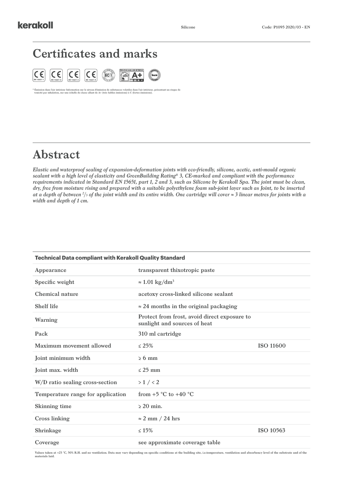### **Certificates and marks**



\* Emission dans l'air intérieur Information sur le niveau d'émission de substances volatiles dans l'air intérieur, présentant un risque de<br>toxicité par inhalation, sur une échelle de classe allant de A+ (très faibles émiss

## **Abstract**

*Elastic and waterproof sealing of expansion-deformation joints with eco-friendly, silicone, acetic, anti-mould organic sealant with a high level of elasticity and GreenBuilding Rating® 3, CE-marked and compliant with the performance requirements indicated in Standard EN 15651, part 1, 2 and 3, such as Silicone by Kerakoll Spa. The joint must be clean, dry, free from moisture rising and prepared with a suitable polyethylene foam sub-joint layer such as Joint, to be inserted at a depth of between 2 /3 of the joint width and its entire width. One cartridge will cover ≈ 3 linear metres for joints with a width and depth of 1 cm.*

| <b>Technical Data compliant with Kerakoll Quality Standard</b> |                                                                              |                  |  |  |  |  |
|----------------------------------------------------------------|------------------------------------------------------------------------------|------------------|--|--|--|--|
| Appearance                                                     | transparent thixotropic paste                                                |                  |  |  |  |  |
| Specific weight                                                | $\approx 1.01 \text{ kg/dm}^3$                                               |                  |  |  |  |  |
| Chemical nature                                                | acetoxy cross-linked silicone sealant                                        |                  |  |  |  |  |
| <b>Shelf life</b>                                              | $\approx$ 24 months in the original packaging                                |                  |  |  |  |  |
| Warning                                                        | Protect from frost, avoid direct exposure to<br>sunlight and sources of heat |                  |  |  |  |  |
| Pack                                                           | 310 ml cartridge                                                             |                  |  |  |  |  |
| Maximum movement allowed                                       | < 25%                                                                        | <b>ISO 11600</b> |  |  |  |  |
| Joint minimum width                                            | $> 6 \text{ mm}$                                                             |                  |  |  |  |  |
| <b>Joint max. width</b>                                        | $<$ 25 mm                                                                    |                  |  |  |  |  |
| W/D ratio sealing cross-section                                | $>1$ / $<2$                                                                  |                  |  |  |  |  |
| Temperature range for application                              | from $+5$ °C to $+40$ °C                                                     |                  |  |  |  |  |
| <b>Skinning time</b>                                           | $>$ 20 min.                                                                  |                  |  |  |  |  |
| <b>Cross linking</b>                                           | $\approx$ 2 mm / 24 hrs                                                      |                  |  |  |  |  |
| Shrinkage                                                      | $\leq 15\%$                                                                  | <b>ISO 10563</b> |  |  |  |  |
| Coverage                                                       | see approximate coverage table                                               |                  |  |  |  |  |

Values taken at +23 °C, 50% R.H. and no ventilation. Data may vary depending on specific conditions at the building site, i.e.temperature, ventilation and absorbency level of the substrate and of the<br>materials laid.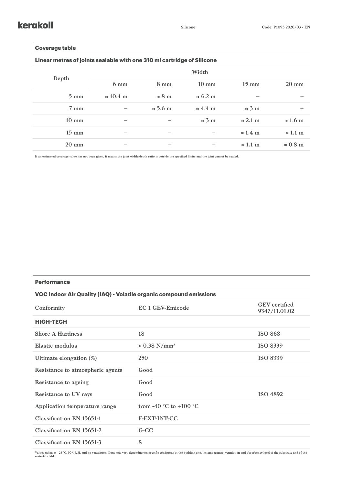#### **Coverage table**

**Linear metres of joints sealable with one 310 ml cartridge of Silicone**

| Depth           | Width            |                 |                         |                 |                        |
|-----------------|------------------|-----------------|-------------------------|-----------------|------------------------|
|                 | $6 \text{ mm}$   | $8 \text{ mm}$  | $10 \text{ mm}$         | $15 \text{ mm}$ | $20 \text{ mm}$        |
| $5 \text{ mm}$  | $\approx 10.4$ m | $\approx 8$ m   | $\approx 6.2 \text{ m}$ |                 |                        |
| $7 \text{ mm}$  |                  | $\approx$ 5.6 m | $\approx 4.4$ m         | $\approx$ 3 m   |                        |
| $10 \text{ mm}$ |                  |                 | $\approx$ 3 m           | $\approx$ 2.1 m | $\approx$ 1.6 m        |
| $15 \text{ mm}$ |                  |                 |                         | $\approx$ 1.4 m | $\approx 1.1~\text{m}$ |
| $20 \text{ mm}$ |                  |                 |                         | $\approx$ 1.1 m | $\approx 0.8$ m        |

**If an estimated coverage value has not been given, it means the joint width/depth ratio is outside the specified limits and the joint cannot be sealed.**

#### **Performance**

#### **VOC Indoor Air Quality (IAQ) - Volatile organic compound emissions**

| Conformity                       | EC 1 GEV-Emicode                           | <b>GEV</b> certified<br>9347/11.01.02 |
|----------------------------------|--------------------------------------------|---------------------------------------|
| <b>HIGH-TECH</b>                 |                                            |                                       |
| <b>Shore A Hardness</b>          | 18                                         | <b>ISO 868</b>                        |
| Elastic modulus                  | $\approx 0.38$ N/mm <sup>2</sup>           | <b>ISO 8339</b>                       |
| Ultimate elongation (%)          | 250                                        | <b>ISO 8339</b>                       |
| Resistance to atmospheric agents | Good                                       |                                       |
| Resistance to ageing             | Good                                       |                                       |
| <b>Resistance to UV rays</b>     | Good                                       | <b>ISO 4892</b>                       |
| Application temperature range    | from -40 $^{\circ}$ C to +100 $^{\circ}$ C |                                       |
| <b>Classification EN 15651-1</b> | <b>F-EXT-INT-CC</b>                        |                                       |
| <b>Classification EN 15651-2</b> | G-CC                                       |                                       |
| <b>Classification EN 15651-3</b> | S                                          |                                       |

Values taken at +23 °C, 50% R.H. and no ventilation. Data may vary depending on specific conditions at the building site, i.e.temperature, ventilation and absorbency level of the substrate and of the<br>materials laid.